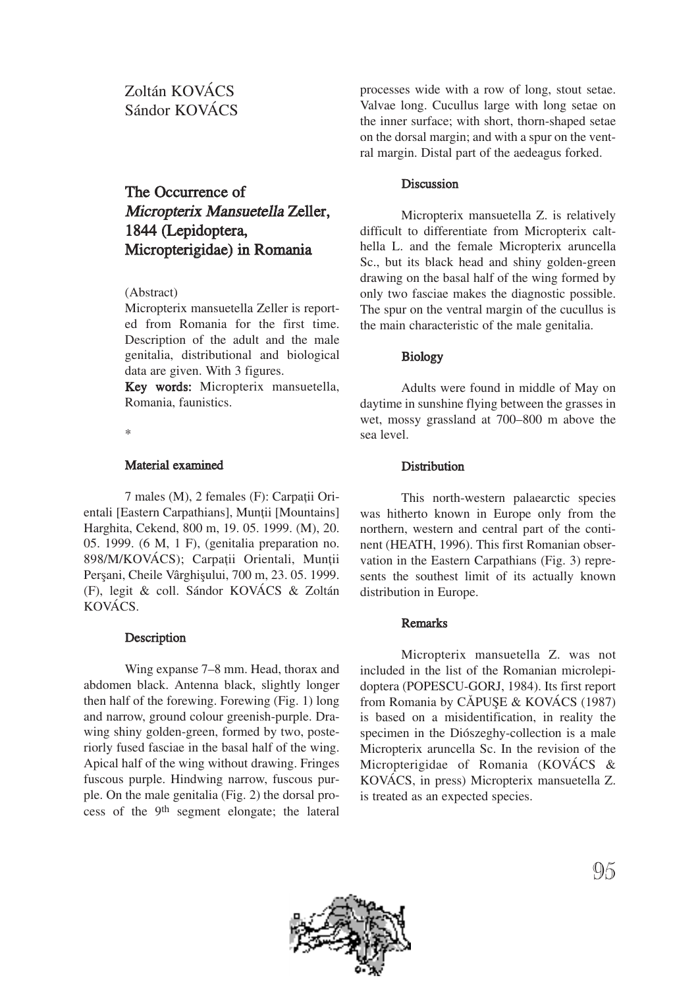Zoltán KOVÁCS Sándor KOVÁCS

## The Occurrence of Micropterix Mansuetella Zeller, 1844 (Lepidoptera, Micropterigidae) in Romania

## (Abstract)

Micropterix mansuetella Zeller is reported from Romania for the first time. Description of the adult and the male genitalia, distributional and biological data are given. With 3 figures.

Key words: Micropterix mansuetella, Romania, faunistics.

\*

### Material examined

7 males (M), 2 females (F): Carpații Orientali [Eastern Carpathians], Munții [Mountains] Harghita, Cekend, 800 m, 19. 05. 1999. (M), 20. 05. 1999. (6 M, 1 F), (genitalia preparation no. 898/M/KOVÁCS); Carpații Orientali, Munții Perşani, Cheile Vârghişului, 700 m, 23. 05. 1999. (F), legit & coll. Sándor KOVÁCS & Zoltán KOVÁCS.

### Description

Wing expanse 7–8 mm. Head, thorax and abdomen black. Antenna black, slightly longer then half of the forewing. Forewing (Fig. 1) long and narrow, ground colour greenish-purple. Drawing shiny golden-green, formed by two, posteriorly fused fasciae in the basal half of the wing. Apical half of the wing without drawing. Fringes fuscous purple. Hindwing narrow, fuscous purple. On the male genitalia (Fig. 2) the dorsal process of the 9th segment elongate; the lateral

processes wide with a row of long, stout setae. Valvae long. Cucullus large with long setae on the inner surface; with short, thorn-shaped setae on the dorsal margin; and with a spur on the ventral margin. Distal part of the aedeagus forked.

## **Discussion**

Micropterix mansuetella Z. is relatively difficult to differentiate from Micropterix calthella L. and the female Micropterix aruncella Sc., but its black head and shiny golden-green drawing on the basal half of the wing formed by only two fasciae makes the diagnostic possible. The spur on the ventral margin of the cucullus is the main characteristic of the male genitalia.

### **Biology**

Adults were found in middle of May on daytime in sunshine flying between the grasses in wet, mossy grassland at 700–800 m above the sea level.

## Distribution

This north-western palaearctic species was hitherto known in Europe only from the northern, western and central part of the continent (HEATH, 1996). This first Romanian observation in the Eastern Carpathians (Fig. 3) represents the southest limit of its actually known distribution in Europe.

## Remarks

Micropterix mansuetella Z. was not included in the list of the Romanian microlepidoptera (POPESCU-GORJ, 1984). Its first report from Romania by CĂPUŞE & KOVÁCS (1987) is based on a misidentification, in reality the specimen in the Diószeghy-collection is a male Micropterix aruncella Sc. In the revision of the Micropterigidae of Romania (KOVÁCS & KOVÁCS, in press) Micropterix mansuetella Z. is treated as an expected species.

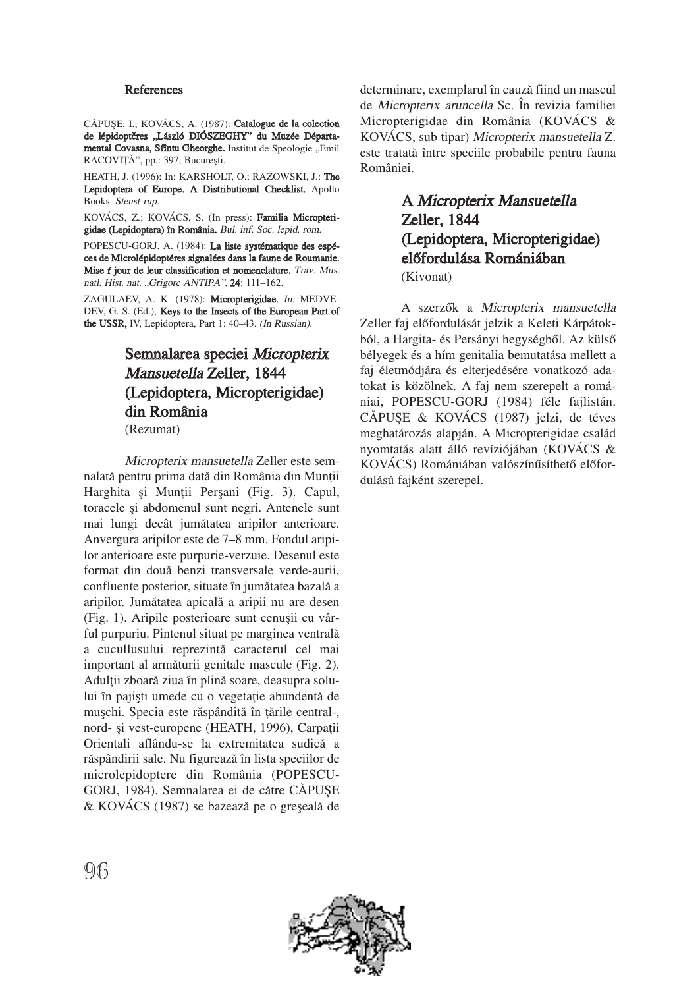## References

CĂPUSE, I.; KOVÁCS, A. (1987): Catalogue de la colection de lépidoptčres "László DIÓSZEGHY" du Muzée Départamental Covasna, Sfîntu Gheorghe. Institut de Speologie ..Emil RACOVIȚĂ", pp.: 397, București.

HEATH, J. (1996): In: KARSHOLT, O.; RAZOWSKI, J.: The Lepidoptera of Europe. A Distributional Checklist. Apollo Books. Stenst-rup.

KOVÁCS, Z.; KOVÁCS, S. (In press): Familia Micropterigidae (Lepidoptera) în România. Bul. inf. Soc. lepid. rom.

POPESCU-GORJ, A. (1984): La liste systématique des espéces de Microlépidoptéres signalées dans la faune de Roumanie. Mise f jour de leur classification et nomenclature. Trav. Mus. natl. Hist. nat. "Grigore ANTIPA", 24: 111-162.

ZAGULAEV, A. K. (1978): Micropterigidae. In: MEDVE-DEV, G. S. (Ed.), Keys to the Insects of the European Part of the USSR, IV, Lepidoptera, Part 1: 40-43. (In Russian).

# Semnalarea speciei Micropterix Mansuetella Zeller, 1844 (Lepidoptera, Micropterigidae) din România

(Rezumat)

Micropterix mansuetella Zeller este semnalată pentru prima dată din România din Munții Harghita si Muntii Persani (Fig. 3). Capul, toracele și abdomenul sunt negri. Antenele sunt mai lungi decât jumãtatea aripilor anterioare. Anvergura aripilor este de 7–8 mm. Fondul aripilor anterioare este purpurie-verzuie. Desenul este format din douã benzi transversale verde-aurii, confluente posterior, situate în jumãtatea bazalã a aripilor. Jumãtatea apicalã a aripii nu are desen (Fig. 1). Aripile posterioare sunt cenușii cu vârful purpuriu. Pintenul situat pe marginea ventralã a cucullusului reprezintã caracterul cel mai important al armãturii genitale mascule (Fig. 2). Adulții zboară ziua în plină soare, deasupra solului în pajiști umede cu o vegetație abundentă de muşchi. Specia este răspândită în țările central-, nord- și vest-europene (HEATH, 1996), Carpații Orientali aflându-se la extremitatea sudicã a rãspândirii sale. Nu figureazã în lista speciilor de microlepidoptere din România (POPESCU-GORJ, 1984). Semnalarea ei de către CĂPUSE & KOVÁCS (1987) se bazează pe o greșeală de

determinare, exemplarul în cauzã fiind un mascul de Micropterix aruncella Sc. În revizia familiei Micropterigidae din România (KOVÁCS & KOVÁCS, sub tipar) Micropterix mansuetella Z. este tratatã între speciile probabile pentru fauna României.

## A Micropterix Mansuetella Zeller, 1844 (Lepidoptera, Micropterigidae) elõfordulása Romániában

(Kivonat)

A szerzõk a Micropterix mansuetella Zeller faj elõfordulását jelzik a Keleti Kárpátokból, a Hargita- és Persányi hegységbõl. Az külsõ bélyegek és a hím genitalia bemutatása mellett a faj életmódjára és elterjedésére vonatkozó adatokat is közölnek. A faj nem szerepelt a romániai, POPESCU-GORJ (1984) féle fajlistán. CĂPUSE & KOVÁCS (1987) jelzi, de téves meghatározás alapján. A Micropterigidae család nyomtatás alatt álló revíziójában (KOVÁCS & KOVÁCS) Romániában valószínûsíthetõ elõfordulású fajként szerepel.

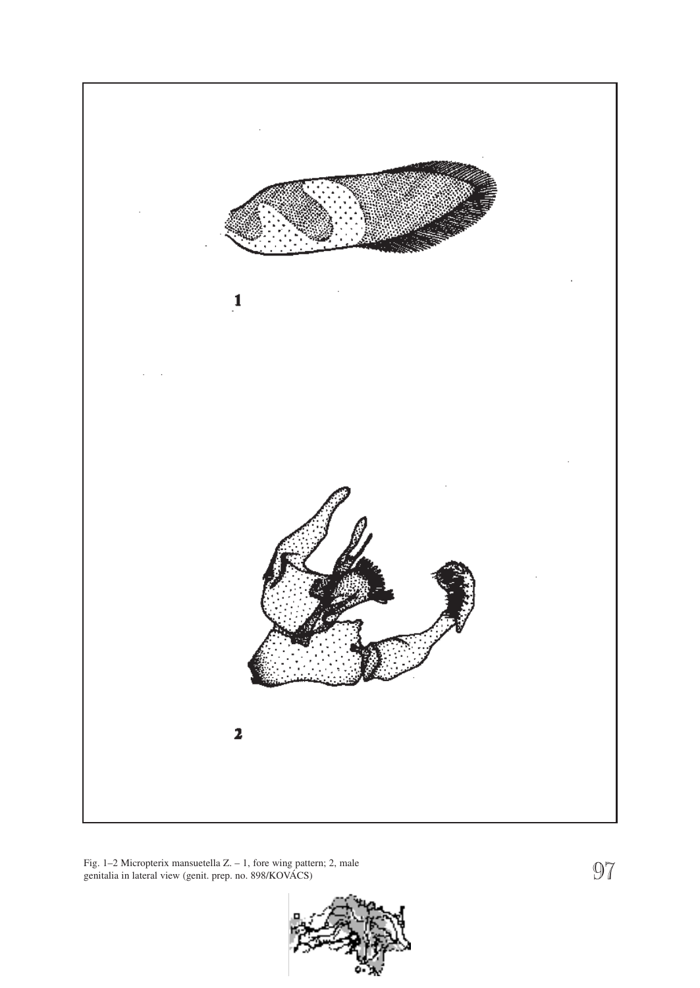

Fig. 1–2 Micropterix mansuetella Z. – 1, fore wing pattern; 2, male<br>genitalia in lateral view (genit. prep. no. 898/KOVÁCS)